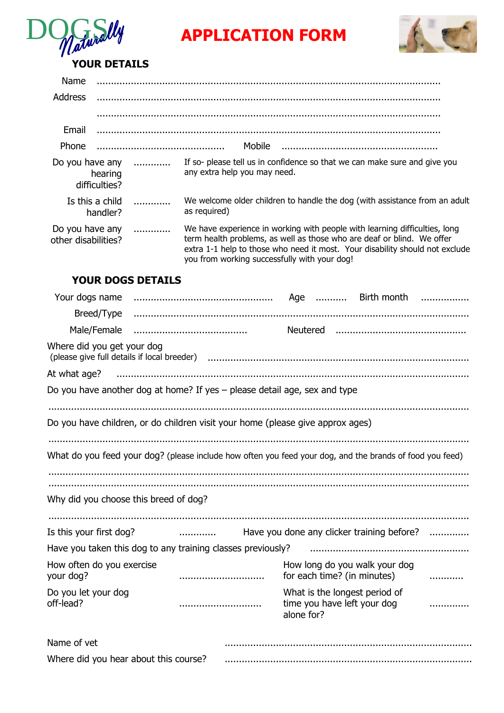

# **APPLICATION FORM**



# **YOUR DETAILS**

| Name                                   |                             |   |                                                                                                                                                                                                                                                                                      |
|----------------------------------------|-----------------------------|---|--------------------------------------------------------------------------------------------------------------------------------------------------------------------------------------------------------------------------------------------------------------------------------------|
| <b>Address</b>                         |                             |   |                                                                                                                                                                                                                                                                                      |
|                                        |                             |   |                                                                                                                                                                                                                                                                                      |
| Email                                  |                             |   |                                                                                                                                                                                                                                                                                      |
| Phone                                  |                             |   | Mobile                                                                                                                                                                                                                                                                               |
| Do you have any                        | hearing<br>difficulties?    | . | If so- please tell us in confidence so that we can make sure and give you<br>any extra help you may need.                                                                                                                                                                            |
|                                        | Is this a child<br>handler? |   | We welcome older children to handle the dog (with assistance from an adult<br>as required)                                                                                                                                                                                           |
| Do you have any<br>other disabilities? |                             | . | We have experience in working with people with learning difficulties, long<br>term health problems, as well as those who are deaf or blind. We offer<br>extra 1-1 help to those who need it most. Your disability should not exclude<br>you from working successfully with your dog! |

## **YOUR DOGS DETAILS**

| Your dogs name                                                                 |                                                                           |                                                                                                                |   |  |  |  |  |  |  |
|--------------------------------------------------------------------------------|---------------------------------------------------------------------------|----------------------------------------------------------------------------------------------------------------|---|--|--|--|--|--|--|
| Breed/Type                                                                     |                                                                           |                                                                                                                |   |  |  |  |  |  |  |
| Male/Female                                                                    |                                                                           |                                                                                                                |   |  |  |  |  |  |  |
| Where did you get your dog                                                     |                                                                           | (please give full details if local breeder) (1999) (1999) (please give full details if local breeder) (1999) ( |   |  |  |  |  |  |  |
| At what age?                                                                   |                                                                           |                                                                                                                |   |  |  |  |  |  |  |
|                                                                                | Do you have another dog at home? If yes - please detail age, sex and type |                                                                                                                |   |  |  |  |  |  |  |
|                                                                                |                                                                           |                                                                                                                |   |  |  |  |  |  |  |
| Do you have children, or do children visit your home (please give approx ages) |                                                                           |                                                                                                                |   |  |  |  |  |  |  |
|                                                                                |                                                                           |                                                                                                                |   |  |  |  |  |  |  |
|                                                                                |                                                                           | What do you feed your dog? (please include how often you feed your dog, and the brands of food you feed)       |   |  |  |  |  |  |  |
|                                                                                |                                                                           |                                                                                                                |   |  |  |  |  |  |  |
| Why did you choose this breed of dog?                                          |                                                                           |                                                                                                                |   |  |  |  |  |  |  |
|                                                                                |                                                                           |                                                                                                                |   |  |  |  |  |  |  |
| Is this your first dog?                                                        | $\overline{\phantom{a}}$                                                  | Have you done any clicker training before?                                                                     | . |  |  |  |  |  |  |
|                                                                                | Have you taken this dog to any training classes previously?               |                                                                                                                |   |  |  |  |  |  |  |
| How often do you exercise<br>your dog?                                         |                                                                           | How long do you walk your dog<br>for each time? (in minutes)                                                   |   |  |  |  |  |  |  |
| Do you let your dog<br>off-lead?                                               |                                                                           | What is the longest period of<br>time you have left your dog<br>alone for?                                     |   |  |  |  |  |  |  |
| Name of yet                                                                    |                                                                           |                                                                                                                |   |  |  |  |  |  |  |
| Where did you hear about this course?                                          |                                                                           |                                                                                                                |   |  |  |  |  |  |  |